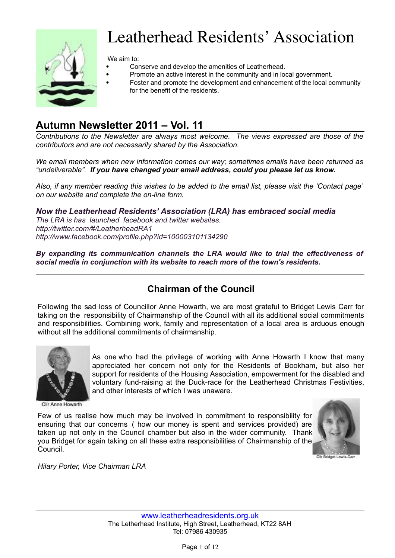

# Leatherhead Residents' Association

We aim to:

- Conserve and develop the amenities of Leatherhead.
- Promote an active interest in the community and in local government.
- Foster and promote the development and enhancement of the local community for the benefit of the residents.

# **Autumn Newsletter 2011 – Vol. 11**

*Contributions to the Newsletter are always most welcome. The views expressed are those of the contributors and are not necessarily shared by the Association.*

*We email members when new information comes our way; sometimes emails have been returned as "undeliverable". If you have changed your email address, could you please let us know.* 

*Also, if any member reading this wishes to be added to the email list, please visit the 'Contact page' on our website and complete the on-line form.*

*Now the Leatherhead Residents' Association (LRA) has embraced social media The LRA is has launched facebook and twitter websites. http://twitter.com/#/LeatherheadRA1 http://www.facebook.com/profile.php?id=100003101134290*

*By expanding its communication channels the LRA would like to trial the effectiveness of social media in conjunction with its website to reach more of the town's residents.*

# **Chairman of the Council**

Following the sad loss of Councillor Anne Howarth, we are most grateful to Bridget Lewis Carr for taking on the responsibility of Chairmanship of the Council with all its additional social commitments and responsibilities. Combining work, family and representation of a local area is arduous enough without all the additional commitments of chairmanship.

> As one who had the privilege of working with Anne Howarth I know that many appreciated her concern not only for the Residents of Bookham, but also her support for residents of the Housing Association, empowerment for the disabled and voluntary fund-raising at the Duck-race for the Leatherhead Christmas Festivities,



Cilr Anne Howarth

Few of us realise how much may be involved in commitment to responsibility for ensuring that our concerns ( how our money is spent and services provided) are taken up not only in the Council chamber but also in the wider community. Thank you Bridget for again taking on all these extra responsibilities of Chairmanship of the Council.

and other interests of which I was unaware.



*Hilary Porter, Vice Chairman LRA*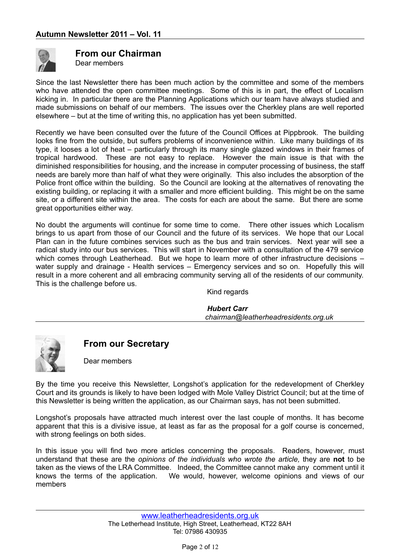

## **From our Chairman**

Dear members

Since the last Newsletter there has been much action by the committee and some of the members who have attended the open committee meetings. Some of this is in part, the effect of Localism kicking in. In particular there are the Planning Applications which our team have always studied and made submissions on behalf of our members. The issues over the Cherkley plans are well reported elsewhere – but at the time of writing this, no application has yet been submitted.

Recently we have been consulted over the future of the Council Offices at Pippbrook. The building looks fine from the outside, but suffers problems of inconvenience within. Like many buildings of its type, it looses a lot of heat – particularly through its many single glazed windows in their frames of tropical hardwood. These are not easy to replace. However the main issue is that with the diminished responsibilities for housing, and the increase in computer processing of business, the staff needs are barely more than half of what they were originally. This also includes the absorption of the Police front office within the building. So the Council are looking at the alternatives of renovating the existing building, or replacing it with a smaller and more efficient building. This might be on the same site, or a different site within the area. The costs for each are about the same. But there are some great opportunities either way.

No doubt the arguments will continue for some time to come. There other issues which Localism brings to us apart from those of our Council and the future of its services. We hope that our Local Plan can in the future combines services such as the bus and train services. Next year will see a radical study into our bus services. This will start in November with a consultation of the 479 service which comes through Leatherhead. But we hope to learn more of other infrastructure decisions – water supply and drainage - Health services – Emergency services and so on. Hopefully this will result in a more coherent and all embracing community serving all of the residents of our community. This is the challenge before us.

Kind regards

*Hubert Carr chairman@leatherheadresidents.org.uk*



**From our Secretary**

Dear members

By the time you receive this Newsletter, Longshot's application for the redevelopment of Cherkley Court and its grounds is likely to have been lodged with Mole Valley District Council; but at the time of this Newsletter is being written the application, as our Chairman says, has not been submitted.

Longshot's proposals have attracted much interest over the last couple of months. It has become apparent that this is a divisive issue, at least as far as the proposal for a golf course is concerned, with strong feelings on both sides.

In this issue you will find two more articles concerning the proposals. Readers, however, must understand that these are the *opinions of the individuals who wrote the article,* they are **not** to be taken as the views of the LRA Committee. Indeed, the Committee cannot make any comment until it knows the terms of the application. We would, however, welcome opinions and views of our members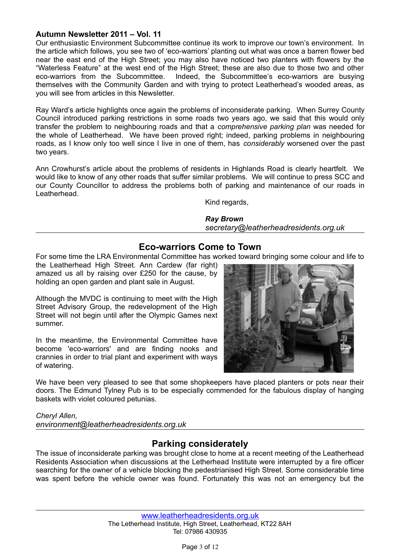Our enthusiastic Environment Subcommittee continue its work to improve our town's environment. In the article which follows, you see two of 'eco-warriors' planting out what was once a barren flower bed near the east end of the High Street; you may also have noticed two planters with flowers by the "Waterless Feature" at the west end of the High Street; these are also due to those two and other eco-warriors from the Subcommittee. Indeed, the Subcommittee's eco-warriors are busying themselves with the Community Garden and with trying to protect Leatherhead's wooded areas, as you will see from articles in this Newsletter.

Ray Ward's article highlights once again the problems of inconsiderate parking. When Surrey County Council introduced parking restrictions in some roads two years ago, we said that this would only transfer the problem to neighbouring roads and that a *comprehensive parking plan* was needed for the whole of Leatherhead. We have been proved right; indeed, parking problems in neighbouring roads, as I know only too well since I live in one of them, has *considerably* worsened over the past two years.

Ann Crowhurst's article about the problems of residents in Highlands Road is clearly heartfelt. We would like to know of any other roads that suffer similar problems. We will continue to press SCC and our County Councillor to address the problems both of parking and maintenance of our roads in Leatherhead.

Kind regards,

*Ray Brown secretary@leatherheadresidents.org.uk*

## **Eco-warriors Come to Town**

For some time the LRA Environmental Committee has worked toward bringing some colour and life to

the Leatherhead High Street. Ann Cardew (far right) amazed us all by raising over £250 for the cause, by holding an open garden and plant sale in August.

Although the MVDC is continuing to meet with the High Street Advisory Group, the redevelopment of the High Street will not begin until after the Olympic Games next summer.

In the meantime, the Environmental Committee have become 'eco-warriors' and are finding nooks and crannies in order to trial plant and experiment with ways of watering.



We have been very pleased to see that some shopkeepers have placed planters or pots near their doors. The Edmund Tylney Pub is to be especially commended for the fabulous display of hanging baskets with violet coloured petunias.

*Cheryl Allen, environment@leatherheadresidents.org.uk*

## **Parking considerately**

The issue of inconsiderate parking was brought close to home at a recent meeting of the Leatherhead Residents Association when discussions at the Letherhead Institute were interrupted by a fire officer searching for the owner of a vehicle blocking the pedestrianised High Street. Some considerable time was spent before the vehicle owner was found. Fortunately this was not an emergency but the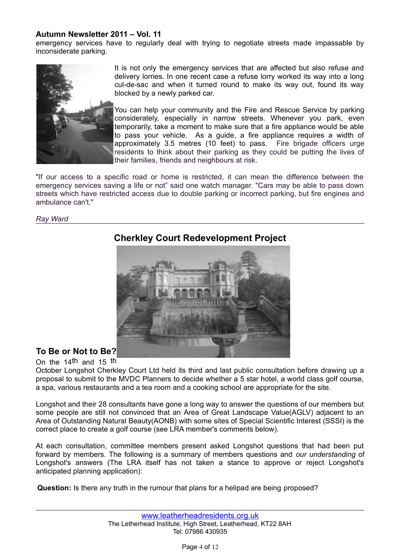emergency services have to regularly deal with trying to negotiate streets made impassable by inconsiderate parking.



It is not only the emergency services that are affected but also refuse and delivery lorries. In one recent case a refuse lorry worked its way into a long cul-de-sac and when it turned round to make its way out, found its way blocked by a newly parked car.

You can help your community and the Fire and Rescue Service by parking considerately, especially in narrow streets. Whenever you park, even temporarily, take a moment to make sure that a fire appliance would be able to pass your vehicle. As a guide, a fire appliance requires a width of approximately 3.5 metres (10 feet) to pass. Fire brigade officers urge residents to think about their parking as they could be putting the lives of their families, friends and neighbours at risk.

"If our access to a specific road or home is restricted, it can mean the difference between the emergency services saving a life or not" said one watch manager. "Cars may be able to pass down streets which have restricted access due to double parking or incorrect parking, but fire engines and ambulance can't."

#### *Ray Ward*



# **Cherkley Court Redevelopment Project**

## **To Be or Not to Be?**

On the 14th and 15 th October Longshot Cherkley Court Ltd held its third and last public consultation before drawing up a proposal to submit to the MVDC Planners to decide whether a 5 star hotel, a world class golf course, a spa, various restaurants and a tea room and a cooking school are appropriate for the site.

Longshot and their 28 consultants have gone a long way to answer the questions of our members but some people are still not convinced that an Area of Great Landscape Value(AGLV) adjacent to an Area of Outstanding Natural Beauty(AONB) with some sites of Special Scientific Interest (SSSI) is the correct place to create a golf course (see LRA member's comments below).

At each consultation, committee members present asked Longshot questions that had been put forward by members. The following is a summary of members questions and *our understanding* of Longshot's answers (The LRA itself has not taken a stance to approve or reject Longshot's anticipated planning application):

**Question:** Is there any truth in the rumour that plans for a helipad are being proposed?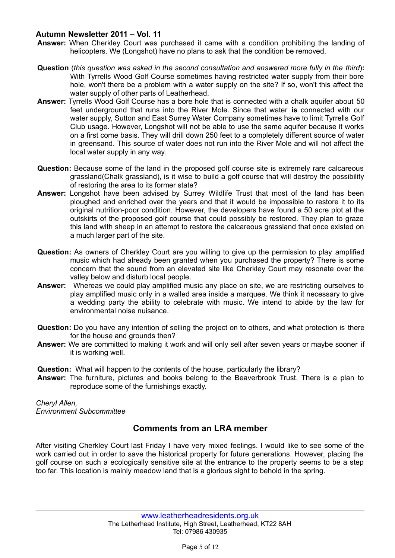- **Answer:** When Cherkley Court was purchased it came with a condition prohibiting the landing of helicopters. We (Longshot) have no plans to ask that the condition be removed.
- **Question** (*this question was asked in the second consultation and answered more fully in the third*)**:** With Tyrrells Wood Golf Course sometimes having restricted water supply from their bore hole, won't there be a problem with a water supply on the site? If so, won't this affect the water supply of other parts of Leatherhead.
- **Answer:** Tyrrells Wood Golf Course has a bore hole that is connected with a chalk aquifer about 50 feet underground that runs into the River Mole. Since that water **is** connected with our water supply, Sutton and East Surrey Water Company sometimes have to limit Tyrrells Golf Club usage. However, Longshot will not be able to use the same aquifer because it works on a first come basis. They will drill down 250 feet to a completely different source of water in greensand. This source of water does not run into the River Mole and will not affect the local water supply in any way.
- **Question:** Because some of the land in the proposed golf course site is extremely rare calcareous grassland(Chalk grassland), is it wise to build a golf course that will destroy the possibility of restoring the area to its former state?
- **Answer:** Longshot have been advised by Surrey Wildlife Trust that most of the land has been ploughed and enriched over the years and that it would be impossible to restore it to its original nutrition-poor condition. However, the developers have found a 50 acre plot at the outskirts of the proposed golf course that could possibly be restored. They plan to graze this land with sheep in an attempt to restore the calcareous grassland that once existed on a much larger part of the site.
- **Question:** As owners of Cherkley Court are you willing to give up the permission to play amplified music which had already been granted when you purchased the property? There is some concern that the sound from an elevated site like Cherkley Court may resonate over the valley below and disturb local people.
- **Answer:** Whereas we could play amplified music any place on site, we are restricting ourselves to play amplified music only in a walled area inside a marquee. We think it necessary to give a wedding party the ability to celebrate with music. We intend to abide by the law for environmental noise nuisance.
- **Question:** Do you have any intention of selling the project on to others, and what protection is there for the house and grounds then?
- **Answer:** We are committed to making it work and will only sell after seven years or maybe sooner if it is working well.

**Question:** What will happen to the contents of the house, particularly the library?

**Answer:** The furniture, pictures and books belong to the Beaverbrook Trust. There is a plan to reproduce some of the furnishings exactly.

*Cheryl Allen, Environment Subcommittee*

## **Comments from an LRA member**

After visiting Cherkley Court last Friday I have very mixed feelings. I would like to see some of the work carried out in order to save the historical property for future generations. However, placing the golf course on such a ecologically sensitive site at the entrance to the property seems to be a step too far. This location is mainly meadow land that is a glorious sight to behold in the spring.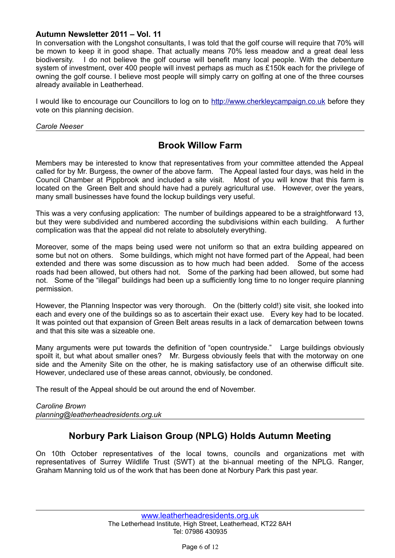In conversation with the Longshot consultants, I was told that the golf course will require that 70% will be mown to keep it in good shape. That actually means 70% less meadow and a great deal less biodiversity. I do not believe the golf course will benefit many local people. With the debenture system of investment, over 400 people will invest perhaps as much as £150k each for the privilege of owning the golf course. I believe most people will simply carry on golfing at one of the three courses already available in Leatherhead.

I would like to encourage our Councillors to log on to http://www.cherkleycampaign.co.uk before they vote on this planning decision.

*Carole Neeser*

# **Brook Willow Farm**

Members may be interested to know that representatives from your committee attended the Appeal called for by Mr. Burgess, the owner of the above farm. The Appeal lasted four days, was held in the Council Chamber at Pippbrook and included a site visit. Most of you will know that this farm is located on the Green Belt and should have had a purely agricultural use. However, over the years, many small businesses have found the lockup buildings very useful.

This was a very confusing application: The number of buildings appeared to be a straightforward 13, but they were subdivided and numbered according the subdivisions within each building. A further complication was that the appeal did not relate to absolutely everything.

Moreover, some of the maps being used were not uniform so that an extra building appeared on some but not on others. Some buildings, which might not have formed part of the Appeal, had been extended and there was some discussion as to how much had been added. Some of the access roads had been allowed, but others had not. Some of the parking had been allowed, but some had not. Some of the "illegal" buildings had been up a sufficiently long time to no longer require planning permission.

However, the Planning Inspector was very thorough. On the (bitterly cold!) site visit, she looked into each and every one of the buildings so as to ascertain their exact use. Every key had to be located. It was pointed out that expansion of Green Belt areas results in a lack of demarcation between towns and that this site was a sizeable one.

Many arguments were put towards the definition of "open countryside." Large buildings obviously spoilt it, but what about smaller ones? Mr. Burgess obviously feels that with the motorway on one side and the Amenity Site on the other, he is making satisfactory use of an otherwise difficult site. However, undeclared use of these areas cannot, obviously, be condoned.

The result of the Appeal should be out around the end of November.

*Caroline Brown planning@leatherheadresidents.org.uk*

# **Norbury Park Liaison Group (NPLG) Holds Autumn Meeting**

On 10th October representatives of the local towns, councils and organizations met with representatives of Surrey Wildlife Trust (SWT) at the bi-annual meeting of the NPLG. Ranger, Graham Manning told us of the work that has been done at Norbury Park this past year.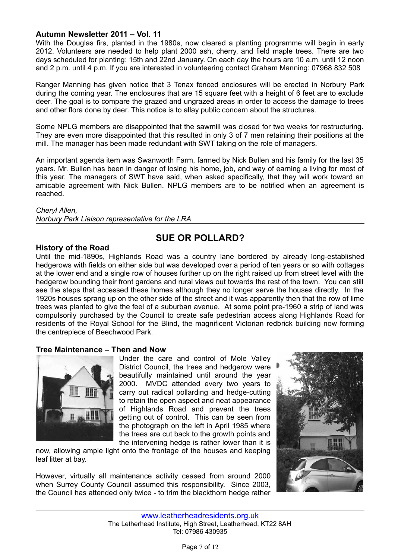With the Douglas firs, planted in the 1980s, now cleared a planting programme will begin in early 2012. Volunteers are needed to help plant 2000 ash, cherry, and field maple trees. There are two days scheduled for planting: 15th and 22nd January. On each day the hours are 10 a.m. until 12 noon and 2 p.m. until 4 p.m. If you are interested in volunteering contact Graham Manning: 07968 832 508

Ranger Manning has given notice that 3 Tenax fenced enclosures will be erected in Norbury Park during the coming year. The enclosures that are 15 square feet with a height of 6 feet are to exclude deer. The goal is to compare the grazed and ungrazed areas in order to access the damage to trees and other flora done by deer. This notice is to allay public concern about the structures.

Some NPLG members are disappointed that the sawmill was closed for two weeks for restructuring. They are even more disappointed that this resulted in only 3 of 7 men retaining their positions at the mill. The manager has been made redundant with SWT taking on the role of managers.

An important agenda item was Swanworth Farm, farmed by Nick Bullen and his family for the last 35 years. Mr. Bullen has been in danger of losing his home, job, and way of earning a living for most of this year. The managers of SWT have said, when asked specifically, that they will work toward an amicable agreement with Nick Bullen. NPLG members are to be notified when an agreement is reached.

#### *Cheryl Allen,*

*Norbury Park Liaison representative for the LRA*

#### **History of the Road**

# **SUE OR POLLARD?**

Until the mid-1890s, Highlands Road was a country lane bordered by already long-established hedgerows with fields on either side but was developed over a period of ten years or so with cottages at the lower end and a single row of houses further up on the right raised up from street level with the hedgerow bounding their front gardens and rural views out towards the rest of the town. You can still see the steps that accessed these homes although they no longer serve the houses directly. In the 1920s houses sprang up on the other side of the street and it was apparently then that the row of lime trees was planted to give the feel of a suburban avenue. At some point pre-1960 a strip of land was compulsorily purchased by the Council to create safe pedestrian access along Highlands Road for residents of the Royal School for the Blind, the magnificent Victorian redbrick building now forming the centrepiece of Beechwood Park.

#### **Tree Maintenance – Then and Now**



Under the care and control of Mole Valley District Council, the trees and hedgerow were beautifully maintained until around the year 2000. MVDC attended every two years to carry out radical pollarding and hedge-cutting to retain the open aspect and neat appearance of Highlands Road and prevent the trees getting out of control. This can be seen from the photograph on the left in April 1985 where the trees are cut back to the growth points and the intervening hedge is rather lower than it is

now, allowing ample light onto the frontage of the houses and keeping leaf litter at bay.

However, virtually all maintenance activity ceased from around 2000 when Surrey County Council assumed this responsibility. Since 2003, the Council has attended only twice - to trim the blackthorn hedge rather

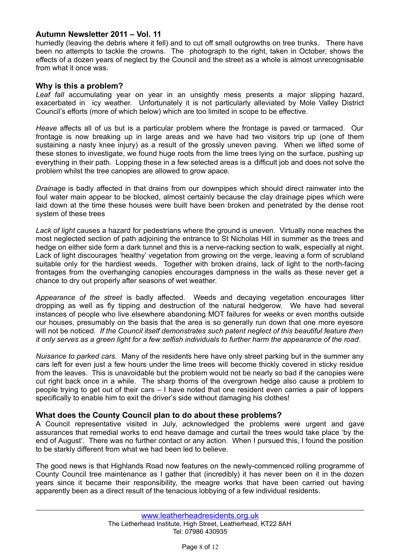hurriedly (leaving the debris where it fell) and to cut off small outgrowths on tree trunks. There have been no attempts to tackle the crowns. The photograph to the right, taken in October, shows the effects of a dozen years of neglect by the Council and the street as a whole is almost unrecognisable from what it once was.

#### **Why is this a problem?**

*Leaf fall* accumulating year on year in an unsightly mess presents a major slipping hazard, exacerbated in icy weather. Unfortunately it is not particularly alleviated by Mole Valley District Council's efforts (more of which below) which are too limited in scope to be effective.

*Heave* affects all of us but is a particular problem where the frontage is paved or tarmaced. Our frontage is now breaking up in large areas and we have had two visitors trip up (one of them sustaining a nasty knee injury) as a result of the grossly uneven paving. When we lifted some of these stones to investigate, we found huge roots from the lime trees lying on the surface, pushing up everything in their path. Lopping these in a few selected areas is a difficult job and does not solve the problem whilst the tree canopies are allowed to grow apace.

*Drainage* is badly affected in that drains from our downpipes which should direct rainwater into the foul water main appear to be blocked, almost certainly because the clay drainage pipes which were laid down at the time these houses were built have been broken and penetrated by the dense root system of these trees

*Lack of light* causes a hazard for pedestrians where the ground is uneven. Virtually none reaches the most neglected section of path adjoining the entrance to St Nicholas Hill in summer as the trees and hedge on either side form a dark tunnel and this is a nerve-racking section to walk, especially at night. Lack of light discourages 'healthy' vegetation from growing on the verge, leaving a form of scrubland suitable only for the hardiest weeds. Together with broken drains, lack of light to the north-facing frontages from the overhanging canopies encourages dampness in the walls as these never get a chance to dry out properly after seasons of wet weather.

*Appearance of the street* is badly affected. Weeds and decaying vegetation encourages litter dropping as well as fly tipping and destruction of the natural hedgerow. We have had several instances of people who live elsewhere abandoning MOT failures for weeks or even months outside our houses, presumably on the basis that the area is so generally run down that one more eyesore will not be noticed*. If the Council itself demonstrates such patent neglect of this beautiful feature then it only serves as a green light for a few selfish individuals to further harm the appearance of the road*.

*Nuisance to parked cars.* Many of the residents here have only street parking but in the summer any cars left for even just a few hours under the lime trees will become thickly covered in sticky residue from the leaves. This is unavoidable but the problem would not be nearly so bad if the canopies were cut right back once in a while. The sharp thorns of the overgrown hedge also cause a problem to people trying to get out of their cars – I have noted that one resident even carries a pair of loppers specifically to enable him to exit the driver's side without damaging his clothes!

#### **What does the County Council plan to do about these problems?**

A Council representative visited in July, acknowledged the problems were urgent and gave assurances that remedial works to end heave damage and curtail the trees would take place 'by the end of August'. There was no further contact or any action. When I pursued this, I found the position to be starkly different from what we had been led to believe.

The good news is that Highlands Road now features on the newly-commenced rolling programme of County Council tree maintenance as I gather that (incredibly) it has never been on it in the dozen years since it became their responsibility, the meagre works that have been carried out having apparently been as a direct result of the tenacious lobbying of a few individual residents.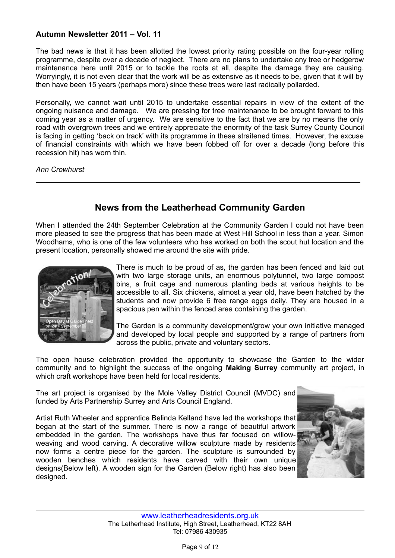The bad news is that it has been allotted the lowest priority rating possible on the four-year rolling programme, despite over a decade of neglect. There are no plans to undertake any tree or hedgerow maintenance here until 2015 or to tackle the roots at all, despite the damage they are causing. Worryingly, it is not even clear that the work will be as extensive as it needs to be, given that it will by then have been 15 years (perhaps more) since these trees were last radically pollarded.

Personally, we cannot wait until 2015 to undertake essential repairs in view of the extent of the ongoing nuisance and damage. We are pressing for tree maintenance to be brought forward to this coming year as a matter of urgency. We are sensitive to the fact that we are by no means the only road with overgrown trees and we entirely appreciate the enormity of the task Surrey County Council is facing in getting 'back on track' with its programme in these straitened times. However, the excuse of financial constraints with which we have been fobbed off for over a decade (long before this recession hit) has worn thin.

*Ann Crowhurst*

# **News from the Leatherhead Community Garden**

When I attended the 24th September Celebration at the Community Garden I could not have been more pleased to see the progress that has been made at West Hill School in less than a year. Simon Woodhams, who is one of the few volunteers who has worked on both the scout hut location and the present location, personally showed me around the site with pride.



There is much to be proud of as, the garden has been fenced and laid out with two large storage units, an enormous polytunnel, two large compost bins, a fruit cage and numerous planting beds at various heights to be accessible to all. Six chickens, almost a year old, have been hatched by the students and now provide 6 free range eggs daily. They are housed in a spacious pen within the fenced area containing the garden.

The Garden is a community development/grow your own initiative managed and developed by local people and supported by a range of partners from across the public, private and voluntary sectors.

The open house celebration provided the opportunity to showcase the Garden to the wider community and to highlight the success of the ongoing **Making Surrey** community art project, in which craft workshops have been held for local residents.

The art project is organised by the Mole Valley District Council (MVDC) and funded by Arts Partnership Surrey and Arts Council England.

Artist Ruth Wheeler and apprentice Belinda Kelland have led the workshops that began at the start of the summer. There is now a range of beautiful artwork embedded in the garden. The workshops have thus far focused on willowweaving and wood carving. A decorative willow sculpture made by residents now forms a centre piece for the garden. The sculpture is surrounded by wooden benches which residents have carved with their own unique designs(Below left). A wooden sign for the Garden (Below right) has also been designed.

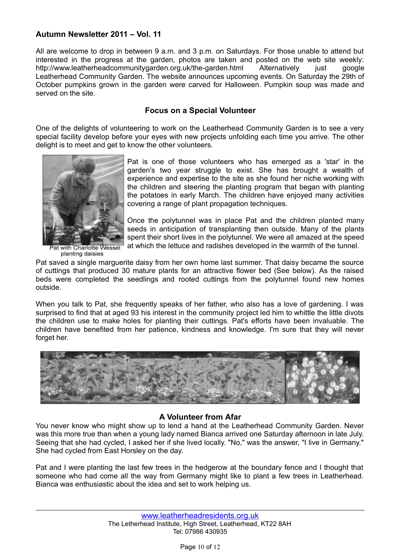All are welcome to drop in between 9 a.m. and 3 p.m. on Saturdays. For those unable to attend but interested in the progress at the garden, photos are taken and posted on the web site weekly: http://www.leatherheadcommunitygarden.org.uk/the-garden.html Alternatively just google Leatherhead Community Garden. The website announces upcoming events. On Saturday the 29th of October pumpkins grown in the garden were carved for Halloween. Pumpkin soup was made and served on the site.

#### **Focus on a Special Volunteer**

One of the delights of volunteering to work on the Leatherhead Community Garden is to see a very special facility develop before your eyes with new projects unfolding each time you arrive. The other delight is to meet and get to know the other volunteers.



with Charlotte Wessel planting daisies

Pat is one of those volunteers who has emerged as a 'star' in the garden's two year struggle to exist. She has brought a wealth of experience and expertise to the site as she found her niche working with the children and steering the planting program that began with planting the potatoes in early March. The children have enjoyed many activities covering a range of plant propagation techniques.

Once the polytunnel was in place Pat and the children planted many seeds in anticipation of transplanting then outside. Many of the plants spent their short lives in the polytunnel. We were all amazed at the speed at which the lettuce and radishes developed in the warmth of the tunnel.

Pat saved a single marguerite daisy from her own home last summer. That daisy became the source of cuttings that produced 30 mature plants for an attractive flower bed (See below). As the raised beds were completed the seedlings and rooted cuttings from the polytunnel found new homes outside.

When you talk to Pat, she frequently speaks of her father, who also has a love of gardening. I was surprised to find that at aged 93 his interest in the community project led him to whittle the little divots the children use to make holes for planting their cuttings. Pat's efforts have been invaluable. The children have benefited from her patience, kindness and knowledge. I'm sure that they will never forget her.



#### **A Volunteer from Afar**

You never know who might show up to lend a hand at the Leatherhead Community Garden. Never was this more true than when a young lady named Bianca arrived one Saturday afternoon in late July. Seeing that she had cycled, I asked her if she lived locally. "No," was the answer, "I live in Germany." She had cycled from East Horsley on the day.

Pat and I were planting the last few trees in the hedgerow at the boundary fence and I thought that someone who had come all the way from Germany might like to plant a few trees in Leatherhead. Bianca was enthusiastic about the idea and set to work helping us.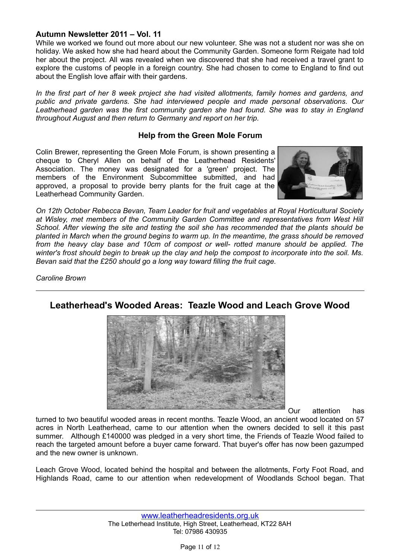While we worked we found out more about our new volunteer. She was not a student nor was she on holiday. We asked how she had heard about the Community Garden. Someone form Reigate had told her about the project. All was revealed when we discovered that she had received a travel grant to explore the customs of people in a foreign country. She had chosen to come to England to find out about the English love affair with their gardens.

*In the first part of her 8 week project she had visited allotments, family homes and gardens, and public and private gardens. She had interviewed people and made personal observations. Our Leatherhead garden was the first community garden she had found. She was to stay in England throughout August and then return to Germany and report on her trip.*

#### **Help from the Green Mole Forum**

Colin Brewer, representing the Green Mole Forum, is shown presenting a cheque to Cheryl Allen on behalf of the Leatherhead Residents' Association. The money was designated for a 'green' project. The members of the Environment Subcommittee submitted, and had approved, a proposal to provide berry plants for the fruit cage at the Leatherhead Community Garden.



*On 12th October Rebecca Bevan, Team Leader for fruit and vegetables at Royal Horticultural Society at Wisley, met members of the Community Garden Committee and representatives from West Hill School. After viewing the site and testing the soil she has recommended that the plants should be planted in March when the ground begins to warm up. In the meantime, the grass should be removed from the heavy clay base and 10cm of compost or well- rotted manure should be applied. The winter's frost should begin to break up the clay and help the compost to incorporate into the soil. Ms. Bevan said that the £250 should go a long way toward filling the fruit cage.*

*Caroline Brown*



**Leatherhead's Wooded Areas: Teazle Wood and Leach Grove Wood**

Our attention has

turned to two beautiful wooded areas in recent months. Teazle Wood, an ancient wood located on 57 acres in North Leatherhead, came to our attention when the owners decided to sell it this past summer. Although £140000 was pledged in a very short time, the Friends of Teazle Wood failed to reach the targeted amount before a buyer came forward. That buyer's offer has now been gazumped and the new owner is unknown.

Leach Grove Wood, located behind the hospital and between the allotments, Forty Foot Road, and Highlands Road, came to our attention when redevelopment of Woodlands School began. That